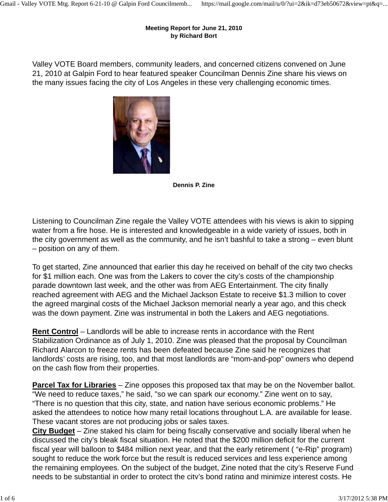#### **Meeting Report for June 21, 2010 by Richard Bort**

Valley VOTE Board members, community leaders, and concerned citizens convened on June 21, 2010 at Galpin Ford to hear featured speaker Councilman Dennis Zine share his views on the many issues facing the city of Los Angeles in these very challenging economic times.



**Dennis P. Zine**

Listening to Councilman Zine regale the Valley VOTE attendees with his views is akin to sipping water from a fire hose. He is interested and knowledgeable in a wide variety of issues, both in the city government as well as the community, and he isn't bashful to take a strong – even blunt – position on any of them.

To get started, Zine announced that earlier this day he received on behalf of the city two checks for \$1 million each. One was from the Lakers to cover the city's costs of the championship parade downtown last week, and the other was from AEG Entertainment. The city finally reached agreement with AEG and the Michael Jackson Estate to receive \$1.3 million to cover the agreed marginal costs of the Michael Jackson memorial nearly a year ago, and this check was the down payment. Zine was instrumental in both the Lakers and AEG negotiations.

**Rent Control** – Landlords will be able to increase rents in accordance with the Rent Stabilization Ordinance as of July 1, 2010. Zine was pleased that the proposal by Councilman Richard Alarcon to freeze rents has been defeated because Zine said he recognizes that landlords' costs are rising, too, and that most landlords are "mom-and-pop" owners who depend on the cash flow from their properties.

**Parcel Tax for Libraries** – Zine opposes this proposed tax that may be on the November ballot. "We need to reduce taxes," he said, "so we can spark our economy." Zine went on to say, "There is no question that this city, state, and nation have serious economic problems." He asked the attendees to notice how many retail locations throughout L.A. are available for lease. These vacant stores are not producing jobs or sales taxes.

**City Budget** – Zine staked his claim for being fiscally conservative and socially liberal when he discussed the city's bleak fiscal situation. He noted that the \$200 million deficit for the current fiscal year will balloon to \$484 million next year, and that the early retirement ( "e-Rip" program) sought to reduce the work force but the result is reduced services and less experience among the remaining employees. On the subject of the budget, Zine noted that the city's Reserve Fund needs to be substantial in order to protect the city's bond rating and minimize interest costs. He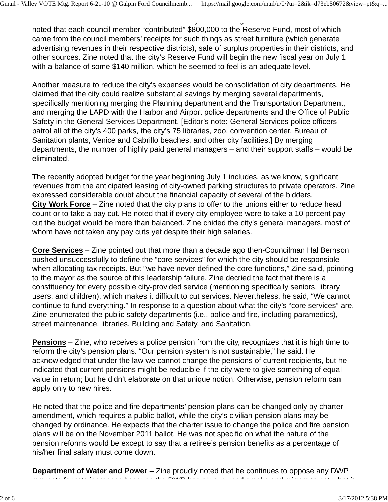needs to be substantial in order to protect the city s bond rating and minimize interest costs. He noted that each council member "contributed" \$800,000 to the Reserve Fund, most of which came from the council members' receipts for such things as street furniture (which generate advertising revenues in their respective districts), sale of surplus properties in their districts, and other sources. Zine noted that the city's Reserve Fund will begin the new fiscal year on July 1 with a balance of some \$140 million, which he seemed to feel is an adequate level.

Another measure to reduce the city's expenses would be consolidation of city departments. He claimed that the city could realize substantial savings by merging several departments, specifically mentioning merging the Planning department and the Transportation Department, and merging the LAPD with the Harbor and Airport police departments and the Office of Public Safety in the General Services Department. [Editor's note**:** General Services police officers patrol all of the city's 400 parks, the city's 75 libraries, zoo, convention center, Bureau of Sanitation plants, Venice and Cabrillo beaches, and other city facilities.] By merging departments, the number of highly paid general managers – and their support staffs – would be eliminated.

The recently adopted budget for the year beginning July 1 includes, as we know, significant revenues from the anticipated leasing of city-owned parking structures to private operators. Zine expressed considerable doubt about the financial capacity of several of the bidders. **City Work Force** – Zine noted that the city plans to offer to the unions either to reduce head count or to take a pay cut. He noted that if every city employee were to take a 10 percent pay cut the budget would be more than balanced. Zine chided the city's general managers, most of whom have not taken any pay cuts yet despite their high salaries.

**Core Services** – Zine pointed out that more than a decade ago then-Councilman Hal Bernson pushed unsuccessfully to define the "core services" for which the city should be responsible when allocating tax receipts. But "we have never defined the core functions," Zine said, pointing to the mayor as the source of this leadership failure. Zine decried the fact that there is a constituency for every possible city-provided service (mentioning specifically seniors, library users, and children), which makes it difficult to cut services. Nevertheless, he said, "We cannot continue to fund everything." In response to a question about what the city's "core services" are, Zine enumerated the public safety departments (i.e., police and fire, including paramedics), street maintenance, libraries, Building and Safety, and Sanitation.

**Pensions** – Zine, who receives a police pension from the city, recognizes that it is high time to reform the city's pension plans. "Our pension system is not sustainable," he said. He acknowledged that under the law we cannot change the pensions of current recipients, but he indicated that current pensions might be reducible if the city were to give something of equal value in return; but he didn't elaborate on that unique notion. Otherwise, pension reform can apply only to new hires.

He noted that the police and fire departments' pension plans can be changed only by charter amendment, which requires a public ballot, while the city's civilian pension plans may be changed by ordinance. He expects that the charter issue to change the police and fire pension plans will be on the November 2011 ballot. He was not specific on what the nature of the pension reforms would be except to say that a retiree's pension benefits as a percentage of his/her final salary must come down.

**Department of Water and Power** – Zine proudly noted that he continues to oppose any DWP requests for rate increases because the DWP has always used smoke and mirrors to get what it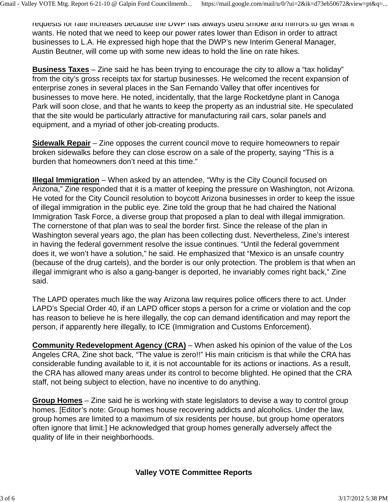requests for rate increases because the DWP has always used smoke and mirrors to get what it wants. He noted that we need to keep our power rates lower than Edison in order to attract businesses to L.A. He expressed high hope that the DWP's new Interim General Manager, Austin Beutner, will come up with some new ideas to hold the line on rate hikes.

**Business Taxes** – Zine said he has been trying to encourage the city to allow a "tax holiday" from the city's gross receipts tax for startup businesses. He welcomed the recent expansion of enterprise zones in several places in the San Fernando Valley that offer incentives for businesses to move here. He noted, incidentally, that the large Rocketdyne plant in Canoga Park will soon close, and that he wants to keep the property as an industrial site. He speculated that the site would be particularly attractive for manufacturing rail cars, solar panels and equipment, and a myriad of other job-creating products.

**Sidewalk Repair** – Zine opposes the current council move to require homeowners to repair broken sidewalks before they can close escrow on a sale of the property, saying "This is a burden that homeowners don't need at this time."

**Illegal Immigration** – When asked by an attendee, "Why is the City Council focused on Arizona," Zine responded that it is a matter of keeping the pressure on Washington, not Arizona. He voted for the City Council resolution to boycott Arizona businesses in order to keep the issue of illegal immigration in the public eye. Zine told the group that he had chaired the National Immigration Task Force, a diverse group that proposed a plan to deal with illegal immigration. The cornerstone of that plan was to seal the border first. Since the release of the plan in Washington several years ago, the plan has been collecting dust. Nevertheless, Zine's interest in having the federal government resolve the issue continues. "Until the federal government does it, we won't have a solution," he said. He emphasized that "Mexico is an unsafe country (because of the drug cartels), and the border is our only protection. The problem is that when an illegal immigrant who is also a gang-banger is deported, he invariably comes right back," Zine said.

The LAPD operates much like the way Arizona law requires police officers there to act. Under LAPD's Special Order 40, if an LAPD officer stops a person for a crime or violation and the cop has reason to believe he is here illegally, the cop can demand identification and may report the person, if apparently here illegally, to ICE (Immigration and Customs Enforcement).

**Community Redevelopment Agency (CRA)** – When asked his opinion of the value of the Los Angeles CRA, Zine shot back, "The value is zero!!" His main criticism is that while the CRA has considerable funding available to it, it is not accountable for its actions or inactions. As a result, the CRA has allowed many areas under its control to become blighted. He opined that the CRA staff, not being subject to election, have no incentive to do anything.

**Group Homes** – Zine said he is working with state legislators to devise a way to control group homes. [Editor's note: Group homes house recovering addicts and alcoholics. Under the law, group homes are limited to a maximum of six residents per house, but group home operators often ignore that limit.] He acknowledged that group homes generally adversely affect the quality of life in their neighborhoods.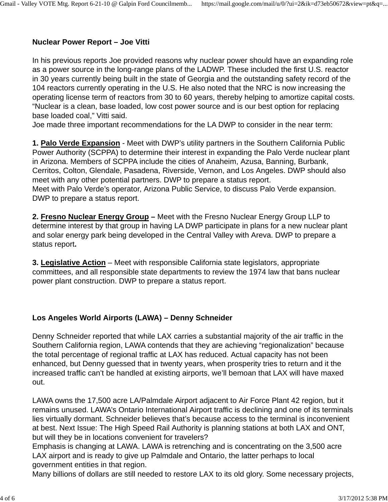# **Nuclear Power Report – Joe Vitti**

In his previous reports Joe provided reasons why nuclear power should have an expanding role as a power source in the long-range plans of the LADWP. These included the first U.S. reactor in 30 years currently being built in the state of Georgia and the outstanding safety record of the 104 reactors currently operating in the U.S. He also noted that the NRC is now increasing the operating license term of reactors from 30 to 60 years, thereby helping to amortize capital costs. "Nuclear is a clean, base loaded, low cost power source and is our best option for replacing base loaded coal," Vitti said.

Joe made three important recommendations for the LA DWP to consider in the near term:

**1. Palo Verde Expansion** - Meet with DWP's utility partners in the Southern California Public Power Authority (SCPPA) to determine their interest in expanding the Palo Verde nuclear plant in Arizona. Members of SCPPA include the cities of Anaheim, Azusa, Banning, Burbank, Cerritos, Colton, Glendale, Pasadena, Riverside, Vernon, and Los Angeles. DWP should also meet with any other potential partners. DWP to prepare a status report. Meet with Palo Verde's operator, Arizona Public Service, to discuss Palo Verde expansion. DWP to prepare a status report.

**2. Fresno Nuclear Energy Group –** Meet with the Fresno Nuclear Energy Group LLP to determine interest by that group in having LA DWP participate in plans for a new nuclear plant and solar energy park being developed in the Central Valley with Areva. DWP to prepare a status report**.**

**3. Legislative Action** – Meet with responsible California state legislators, appropriate committees, and all responsible state departments to review the 1974 law that bans nuclear power plant construction. DWP to prepare a status report.

## **Los Angeles World Airports (LAWA) – Denny Schneider**

Denny Schneider reported that while LAX carries a substantial majority of the air traffic in the Southern California region, LAWA contends that they are achieving "regionalization" because the total percentage of regional traffic at LAX has reduced. Actual capacity has not been enhanced, but Denny guessed that in twenty years, when prosperity tries to return and it the increased traffic can't be handled at existing airports, we'll bemoan that LAX will have maxed out.

LAWA owns the 17,500 acre LA/Palmdale Airport adjacent to Air Force Plant 42 region, but it remains unused. LAWA's Ontario International Airport traffic is declining and one of its terminals lies virtually dormant. Schneider believes that's because access to the terminal is inconvenient at best. Next Issue: The High Speed Rail Authority is planning stations at both LAX and ONT, but will they be in locations convenient for travelers?

Emphasis is changing at LAWA. LAWA is retrenching and is concentrating on the 3,500 acre LAX airport and is ready to give up Palmdale and Ontario, the latter perhaps to local government entities in that region.

Many billions of dollars are still needed to restore LAX to its old glory. Some necessary projects,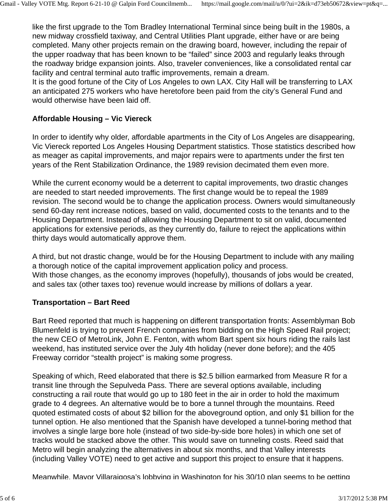like the first upgrade to the Tom Bradley International Terminal since being built in the 1980s, a new midway crossfield taxiway, and Central Utilities Plant upgrade, either have or are being completed. Many other projects remain on the drawing board, however, including the repair of the upper roadway that has been known to be "failed" since 2003 and regularly leaks through the roadway bridge expansion joints. Also, traveler conveniences, like a consolidated rental car facility and central terminal auto traffic improvements, remain a dream.

It is the good fortune of the City of Los Angeles to own LAX. City Hall will be transferring to LAX an anticipated 275 workers who have heretofore been paid from the city's General Fund and would otherwise have been laid off.

#### **Affordable Housing – Vic Viereck**

In order to identify why older, affordable apartments in the City of Los Angeles are disappearing, Vic Viereck reported Los Angeles Housing Department statistics. Those statistics described how as meager as capital improvements, and major repairs were to apartments under the first ten years of the Rent Stabilization Ordinance, the 1989 revision decimated them even more.

While the current economy would be a deterrent to capital improvements, two drastic changes are needed to start needed improvements. The first change would be to repeal the 1989 revision. The second would be to change the application process. Owners would simultaneously send 60-day rent increase notices, based on valid, documented costs to the tenants and to the Housing Department. Instead of allowing the Housing Department to sit on valid, documented applications for extensive periods, as they currently do, failure to reject the applications within thirty days would automatically approve them.

A third, but not drastic change, would be for the Housing Department to include with any mailing a thorough notice of the capital improvement application policy and process. With those changes, as the economy improves (hopefully), thousands of jobs would be created, and sales tax (other taxes too) revenue would increase by millions of dollars a year.

### **Transportation – Bart Reed**

Bart Reed reported that much is happening on different transportation fronts: Assemblyman Bob Blumenfeld is trying to prevent French companies from bidding on the High Speed Rail project; the new CEO of MetroLink, John E. Fenton, with whom Bart spent six hours riding the rails last weekend, has instituted service over the July 4th holiday (never done before); and the 405 Freeway corridor "stealth project" is making some progress.

Speaking of which, Reed elaborated that there is \$2.5 billion earmarked from Measure R for a transit line through the Sepulveda Pass. There are several options available, including constructing a rail route that would go up to 180 feet in the air in order to hold the maximum grade to 4 degrees. An alternative would be to bore a tunnel through the mountains. Reed quoted estimated costs of about \$2 billion for the aboveground option, and only \$1 billion for the tunnel option. He also mentioned that the Spanish have developed a tunnel-boring method that involves a single large bore hole (instead of two side-by-side bore holes) in which one set of tracks would be stacked above the other. This would save on tunneling costs. Reed said that Metro will begin analyzing the alternatives in about six months, and that Valley interests (including Valley VOTE) need to get active and support this project to ensure that it happens.

Meanwhile, Mayor Villaraigosa's lobbying in Washington for his 30/10 plan seems to be getting